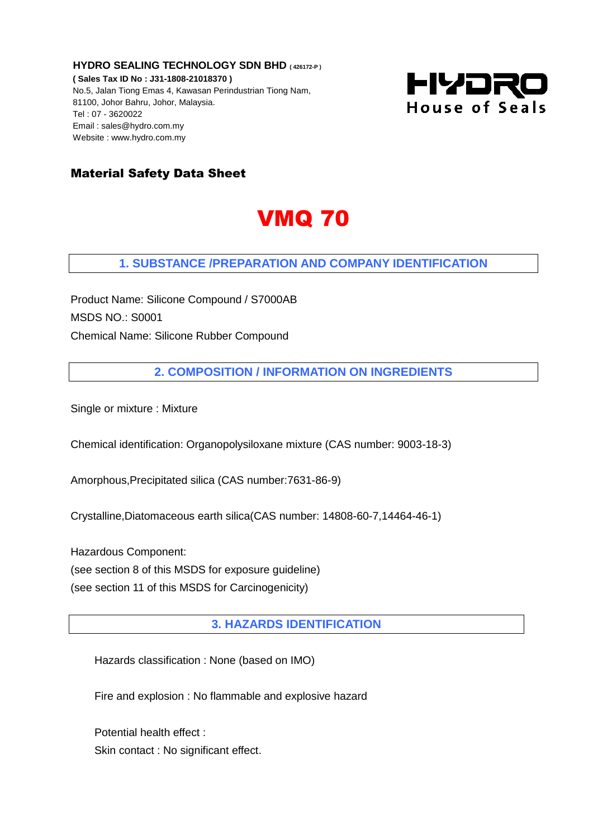**HYDRO SEALING TECHNOLOGY SDN BHD ( 426172-P ) ( Sales Tax ID No : J31-1808-21018370 )** No.5, Jalan Tiong Emas 4, Kawasan Perindustrian Tiong Nam, 81100, Johor Bahru, Johor, Malaysia. Tel : 07 - 3620022 Email : sales@hydro.com.my Website : www.hydro.com.my



## Material Safety Data Sheet

## VMQ 70

#### **1. SUBSTANCE /PREPARATION AND COMPANY IDENTIFICATION**

Product Name: Silicone Compound / S7000AB MSDS NO.: S0001 Chemical Name: Silicone Rubber Compound

**2. COMPOSITION / INFORMATION ON INGREDIENTS**

Single or mixture : Mixture

Chemical identification: Organopolysiloxane mixture (CAS number: 9003-18-3)

Amorphous,Precipitated silica (CAS number:7631-86-9)

Crystalline,Diatomaceous earth silica(CAS number: 14808-60-7,14464-46-1)

Hazardous Component:

(see section 8 of this MSDS for exposure guideline)

(see section 11 of this MSDS for Carcinogenicity)

**3. HAZARDS IDENTIFICATION** 

Hazards classification : None (based on IMO)

Fire and explosion : No flammable and explosive hazard

Potential health effect : Skin contact : No significant effect.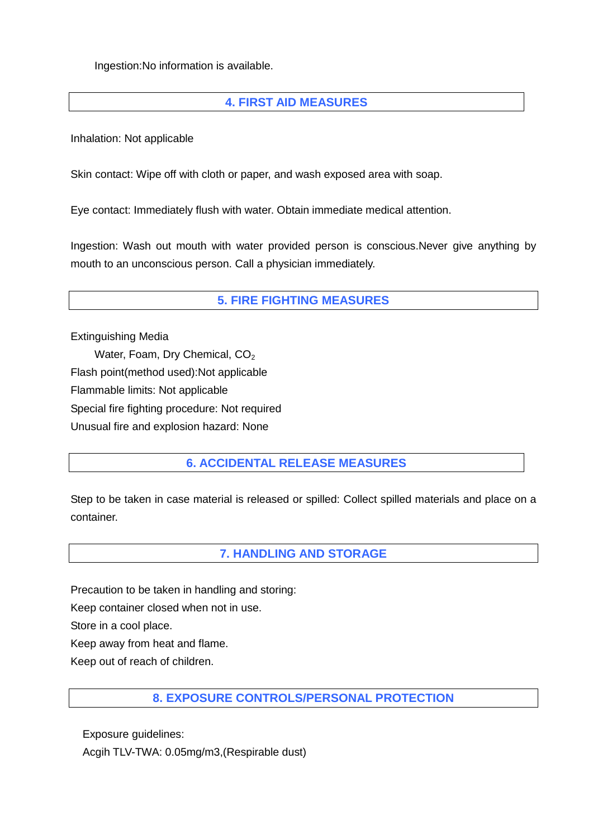Ingestion:No information is available.

## **4. FIRST AID MEASURES**

Inhalation: Not applicable

Skin contact: Wipe off with cloth or paper, and wash exposed area with soap.

Eye contact: Immediately flush with water. Obtain immediate medical attention.

Ingestion: Wash out mouth with water provided person is conscious.Never give anything by mouth to an unconscious person. Call a physician immediately.

## **5. FIRE FIGHTING MEASURES**

Extinguishing Media Water, Foam, Dry Chemical, CO<sub>2</sub> Flash point(method used):Not applicable Flammable limits: Not applicable Special fire fighting procedure: Not required Unusual fire and explosion hazard: None

## **6. ACCIDENTAL RELEASE MEASURES**

Step to be taken in case material is released or spilled: Collect spilled materials and place on a container.

#### **7. HANDLING AND STORAGE**

Precaution to be taken in handling and storing:

Keep container closed when not in use.

Store in a cool place.

Keep away from heat and flame.

Keep out of reach of children.

#### **8. EXPOSURE CONTROLS/PERSONAL PROTECTION**

Exposure guidelines:

Acgih TLV-TWA: 0.05mg/m3,(Respirable dust)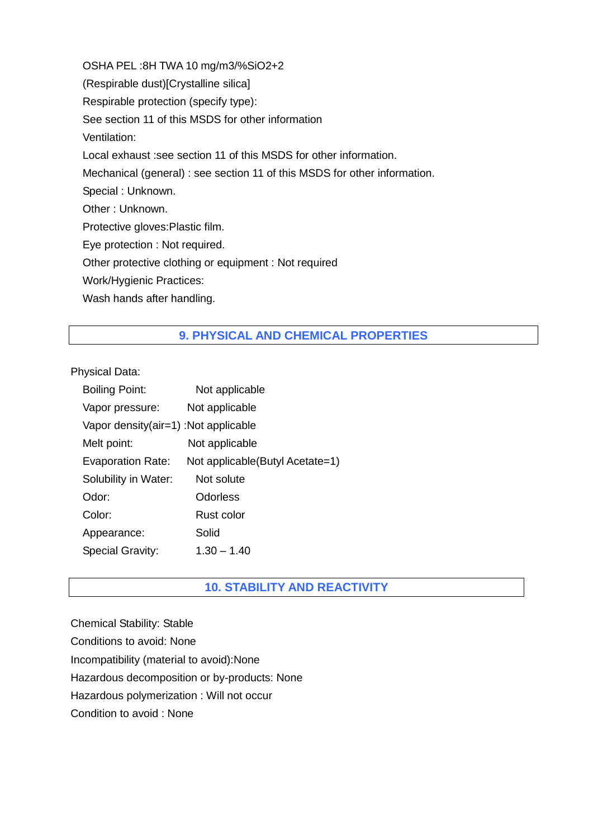OSHA PEL :8H TWA 10 mg/m3/%SiO2+2 (Respirable dust)[Crystalline silica] Respirable protection (specify type): See section 11 of this MSDS for other information Ventilation: Local exhaust :see section 11 of this MSDS for other information. Mechanical (general) : see section 11 of this MSDS for other information. Special : Unknown. Other : Unknown. Protective gloves:Plastic film. Eye protection : Not required. Other protective clothing or equipment : Not required Work/Hygienic Practices: Wash hands after handling.

# **9. PHYSICAL AND CHEMICAL PROPERTIES**

Physical Data:

| <b>Boiling Point:</b>                | Not applicable                   |
|--------------------------------------|----------------------------------|
| Vapor pressure:                      | Not applicable                   |
| Vapor density(air=1) :Not applicable |                                  |
| Melt point:                          | Not applicable                   |
| Evaporation Rate:                    | Not applicable (Butyl Acetate=1) |
| Solubility in Water:                 | Not solute                       |
| Odor:                                | Odorless                         |
| Color:                               | Rust color                       |
| Appearance:                          | Solid                            |
| <b>Special Gravity:</b>              | $1.30 - 1.40$                    |

## **10. STABILITY AND REACTIVITY**

Chemical Stability: Stable Conditions to avoid: None Incompatibility (material to avoid):None Hazardous decomposition or by-products: None Hazardous polymerization : Will not occur Condition to avoid : None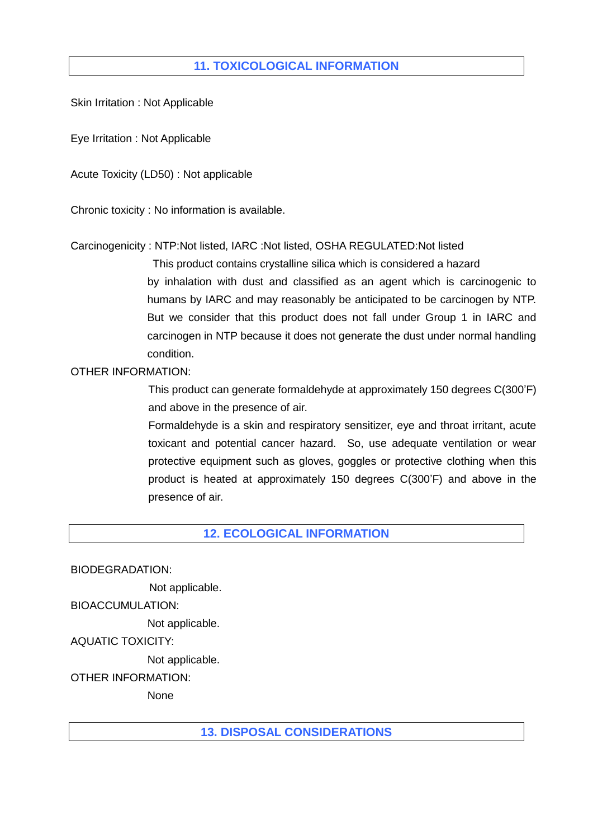## **11. TOXICOLOGICAL INFORMATION**

Skin Irritation : Not Applicable

Eye Irritation : Not Applicable

Acute Toxicity (LD50) : Not applicable

Chronic toxicity : No information is available.

Carcinogenicity : NTP:Not listed, IARC :Not listed, OSHA REGULATED:Not listed

 This product contains crystalline silica which is considered a hazard by inhalation with dust and classified as an agent which is carcinogenic to humans by IARC and may reasonably be anticipated to be carcinogen by NTP. But we consider that this product does not fall under Group 1 in IARC and carcinogen in NTP because it does not generate the dust under normal handling condition.

#### OTHER INFORMATION:

 This product can generate formaldehyde at approximately 150 degrees C(300'F) and above in the presence of air.

 Formaldehyde is a skin and respiratory sensitizer, eye and throat irritant, acute toxicant and potential cancer hazard. So, use adequate ventilation or wear protective equipment such as gloves, goggles or protective clothing when this product is heated at approximately 150 degrees C(300'F) and above in the presence of air.

#### **12. ECOLOGICAL INFORMATION**

BIODEGRADATION:

Not applicable.

BIOACCUMULATION:

Not applicable.

AQUATIC TOXICITY:

Not applicable.

OTHER INFORMATION:

None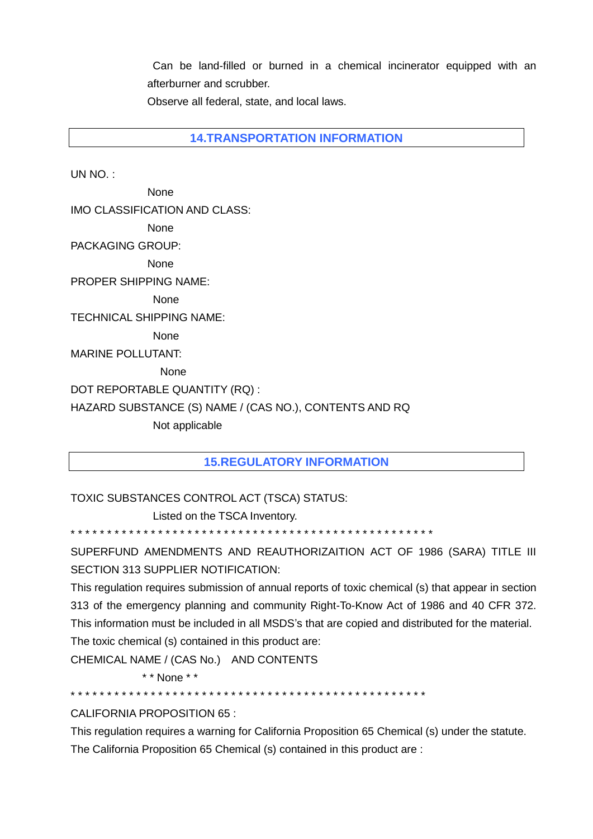Can be land-filled or burned in a chemical incinerator equipped with an afterburner and scrubber.

Observe all federal, state, and local laws.

**14.TRANSPORTATION INFORMATION** 

UN NO. :

 None IMO CLASSIFICATION AND CLASS: None PACKAGING GROUP: None PROPER SHIPPING NAME: None TECHNICAL SHIPPING NAME: None MARINE POLLUTANT: None DOT REPORTABLE QUANTITY (RQ) : HAZARD SUBSTANCE (S) NAME / (CAS NO.), CONTENTS AND RQ Not applicable

#### **15.REGULATORY INFORMATION**

TOXIC SUBSTANCES CONTROL ACT (TSCA) STATUS:

Listed on the TSCA Inventory.

\* \* \* \* \* \* \* \* \* \* \* \* \* \* \* \* \* \* \* \* \* \* \* \* \* \* \* \* \* \* \* \* \* \* \* \* \* \* \* \* \* \* \* \* \* \* \* \* \* \*

SUPERFUND AMENDMENTS AND REAUTHORIZAITION ACT OF 1986 (SARA) TITLE III SECTION 313 SUPPLIER NOTIFICATION:

This regulation requires submission of annual reports of toxic chemical (s) that appear in section 313 of the emergency planning and community Right-To-Know Act of 1986 and 40 CFR 372. This information must be included in all MSDS's that are copied and distributed for the material. The toxic chemical (s) contained in this product are:

CHEMICAL NAME / (CAS No.) AND CONTENTS

\* \* None \* \*

\* \* \* \* \* \* \* \* \* \* \* \* \* \* \* \* \* \* \* \* \* \* \* \* \* \* \* \* \* \* \* \* \* \* \* \* \* \* \* \* \* \* \* \* \* \* \* \* \*

CALIFORNIA PROPOSITION 65 :

This regulation requires a warning for California Proposition 65 Chemical (s) under the statute. The California Proposition 65 Chemical (s) contained in this product are :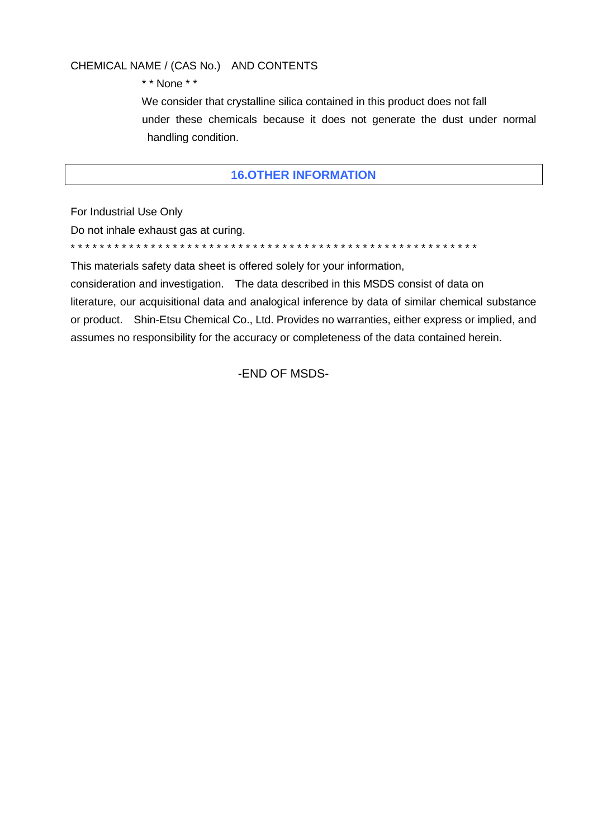#### CHEMICAL NAME / (CAS No.) AND CONTENTS

\* \* None \* \*

 We consider that crystalline silica contained in this product does not fall under these chemicals because it does not generate the dust under normal handling condition.

#### **16.OTHER INFORMATION**

For Industrial Use Only

Do not inhale exhaust gas at curing. \* \* \* \* \* \* \* \* \* \* \* \* \* \* \* \* \* \* \* \* \* \* \* \* \* \* \* \* \* \* \* \* \* \* \* \* \* \* \* \* \* \* \* \* \* \* \* \* \* \* \* \* \* \* \* \*

This materials safety data sheet is offered solely for your information,

consideration and investigation. The data described in this MSDS consist of data on literature, our acquisitional data and analogical inference by data of similar chemical substance or product. Shin-Etsu Chemical Co., Ltd. Provides no warranties, either express or implied, and assumes no responsibility for the accuracy or completeness of the data contained herein.

-END OF MSDS-